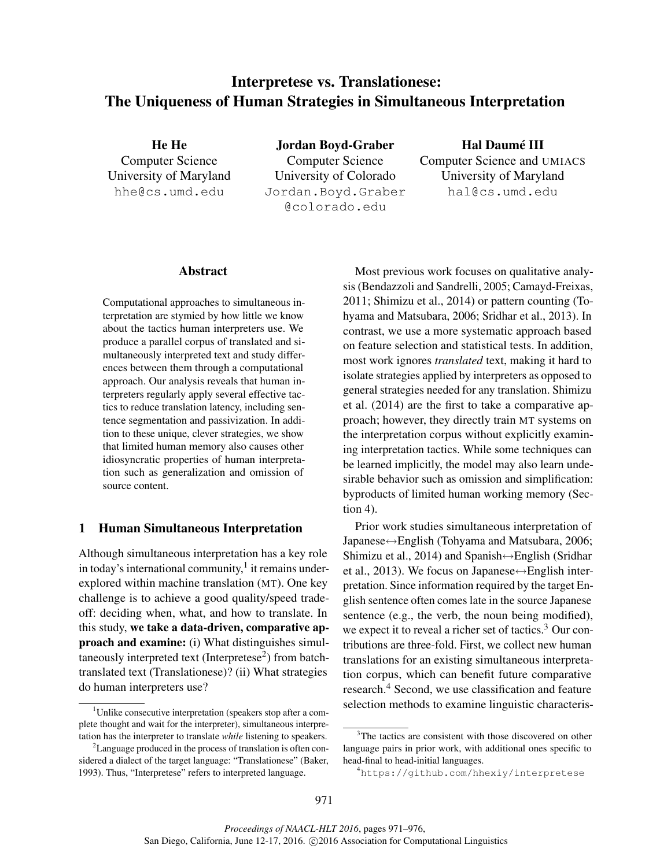# Interpretese vs. Translationese: The Uniqueness of Human Strategies in Simultaneous Interpretation

He He Computer Science University of Maryland hhe@cs.umd.edu

Jordan Boyd-Graber Computer Science University of Colorado Jordan.Boyd.Graber @colorado.edu

Hal Daumé III Computer Science and UMIACS University of Maryland hal@cs.umd.edu

#### Abstract

Computational approaches to simultaneous interpretation are stymied by how little we know about the tactics human interpreters use. We produce a parallel corpus of translated and simultaneously interpreted text and study differences between them through a computational approach. Our analysis reveals that human interpreters regularly apply several effective tactics to reduce translation latency, including sentence segmentation and passivization. In addition to these unique, clever strategies, we show that limited human memory also causes other idiosyncratic properties of human interpretation such as generalization and omission of source content.

#### 1 Human Simultaneous Interpretation

Although simultaneous interpretation has a key role in today's international community, $1$  it remains underexplored within machine translation (MT). One key challenge is to achieve a good quality/speed tradeoff: deciding when, what, and how to translate. In this study, we take a data-driven, comparative approach and examine: (i) What distinguishes simultaneously interpreted text (Interpretese<sup>2</sup>) from batchtranslated text (Translationese)? (ii) What strategies do human interpreters use?

Most previous work focuses on qualitative analysis (Bendazzoli and Sandrelli, 2005; Camayd-Freixas, 2011; Shimizu et al., 2014) or pattern counting (Tohyama and Matsubara, 2006; Sridhar et al., 2013). In contrast, we use a more systematic approach based on feature selection and statistical tests. In addition, most work ignores *translated* text, making it hard to isolate strategies applied by interpreters as opposed to general strategies needed for any translation. Shimizu et al. (2014) are the first to take a comparative approach; however, they directly train MT systems on the interpretation corpus without explicitly examining interpretation tactics. While some techniques can be learned implicitly, the model may also learn undesirable behavior such as omission and simplification: byproducts of limited human working memory (Section 4).

Prior work studies simultaneous interpretation of Japanese↔English (Tohyama and Matsubara, 2006; Shimizu et al., 2014) and Spanish $\leftrightarrow$ English (Sridhar et al., 2013). We focus on Japanese $\leftrightarrow$ English interpretation. Since information required by the target English sentence often comes late in the source Japanese sentence (e.g., the verb, the noun being modified), we expect it to reveal a richer set of tactics.<sup>3</sup> Our contributions are three-fold. First, we collect new human translations for an existing simultaneous interpretation corpus, which can benefit future comparative research.<sup>4</sup> Second, we use classification and feature selection methods to examine linguistic characteris-

<sup>&</sup>lt;sup>1</sup>Unlike consecutive interpretation (speakers stop after a complete thought and wait for the interpreter), simultaneous interpretation has the interpreter to translate *while* listening to speakers.

<sup>&</sup>lt;sup>2</sup>Language produced in the process of translation is often considered a dialect of the target language: "Translationese" (Baker, 1993). Thus, "Interpretese" refers to interpreted language.

<sup>&</sup>lt;sup>3</sup>The tactics are consistent with those discovered on other language pairs in prior work, with additional ones specific to head-final to head-initial languages.

<sup>4</sup>https://github.com/hhexiy/interpretese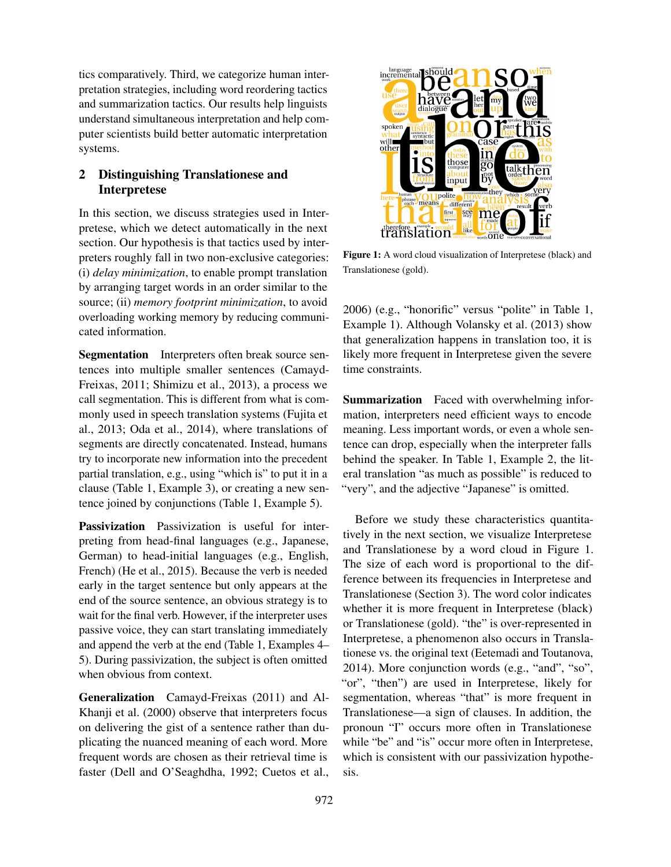tics comparatively. Third, we categorize human interpretation strategies, including word reordering tactics and summarization tactics. Our results help linguists understand simultaneous interpretation and help computer scientists build better automatic interpretation systems.

# 2 Distinguishing Translationese and Interpretese

In this section, we discuss strategies used in Interpretese, which we detect automatically in the next section. Our hypothesis is that tactics used by interpreters roughly fall in two non-exclusive categories: (i) *delay minimization*, to enable prompt translation by arranging target words in an order similar to the source; (ii) *memory footprint minimization*, to avoid overloading working memory by reducing communicated information.

Segmentation Interpreters often break source sentences into multiple smaller sentences (Camayd-Freixas, 2011; Shimizu et al., 2013), a process we call segmentation. This is different from what is commonly used in speech translation systems (Fujita et al., 2013; Oda et al., 2014), where translations of segments are directly concatenated. Instead, humans try to incorporate new information into the precedent partial translation, e.g., using "which is" to put it in a clause (Table 1, Example 3), or creating a new sentence joined by conjunctions (Table 1, Example 5).

Passivization Passivization is useful for interpreting from head-final languages (e.g., Japanese, German) to head-initial languages (e.g., English, French) (He et al., 2015). Because the verb is needed early in the target sentence but only appears at the end of the source sentence, an obvious strategy is to wait for the final verb. However, if the interpreter uses passive voice, they can start translating immediately and append the verb at the end (Table 1, Examples 4– 5). During passivization, the subject is often omitted when obvious from context.

Generalization Camayd-Freixas (2011) and Al-Khanji et al. (2000) observe that interpreters focus on delivering the gist of a sentence rather than duplicating the nuanced meaning of each word. More frequent words are chosen as their retrieval time is faster (Dell and O'Seaghdha, 1992; Cuetos et al.,



Figure 1: A word cloud visualization of Interpretese (black) and Translationese (gold).

Example 1). Although Volansky et al. (2013) show 2006) (e.g., "honorific" versus "polite" in Table 1, that generalization happens in translation too, it is likely more frequent in Interpretese given the severe time constraints.

Summarization Faced with overwhelming information, interpreters need efficient ways to encode meaning. Less important words, or even a whole sentence can drop, especially when the interpreter falls behind the speaker. In Table 1, Example 2, the literal translation "as much as possible" is reduced to "very", and the adjective "Japanese" is omitted.

Before we study these characteristics quantitatively in the next section, we visualize Interpretese and Translationese by a word cloud in Figure 1. The size of each word is proportional to the difference between its frequencies in Interpretese and Translationese (Section 3). The word color indicates whether it is more frequent in Interpretese (black) or Translationese (gold). "the" is over-represented in Interpretese, a phenomenon also occurs in Translationese vs. the original text (Eetemadi and Toutanova, 2014). More conjunction words (e.g., "and", "so", "or", "then") are used in Interpretese, likely for segmentation, whereas "that" is more frequent in Translationese—a sign of clauses. In addition, the pronoun "I" occurs more often in Translationese while "be" and "is" occur more often in Interpretese, which is consistent with our passivization hypothesis.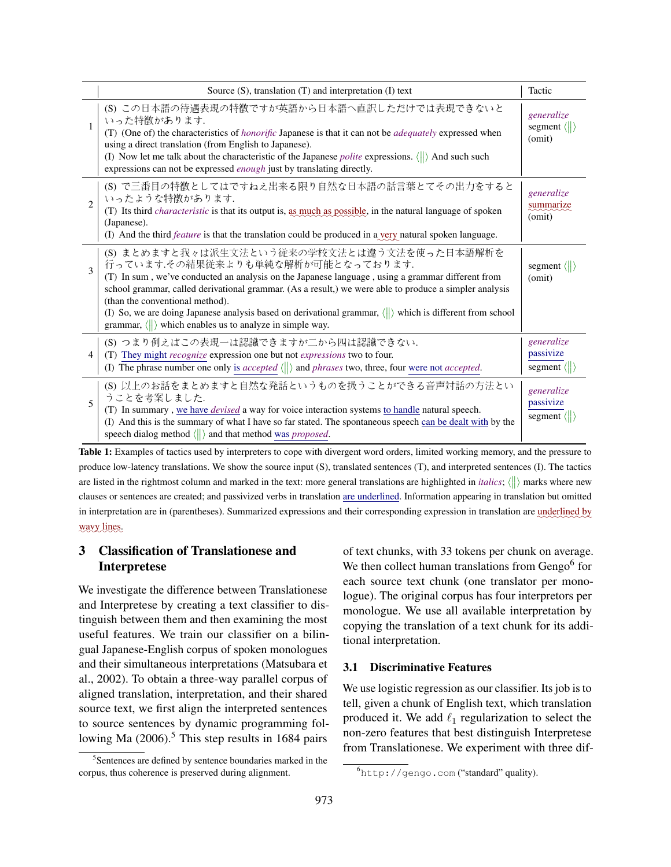|                             | Source $(S)$ , translation $(T)$ and interpretation $(I)$ text                                                                                                                                                                                                                                                                                                                                                                                                                                                                         | Tactic                                                 |
|-----------------------------|----------------------------------------------------------------------------------------------------------------------------------------------------------------------------------------------------------------------------------------------------------------------------------------------------------------------------------------------------------------------------------------------------------------------------------------------------------------------------------------------------------------------------------------|--------------------------------------------------------|
| 1                           | (S) この日本語の待遇表現の特徴ですが英語から日本語へ直訳しただけでは表現できないと<br>いった特徴があります.<br>(T) (One of) the characteristics of <i>honorific</i> Japanese is that it can not be <i>adequately</i> expressed when<br>using a direct translation (from English to Japanese).<br>(I) Now let me talk about the characteristic of the Japanese <i>polite</i> expressions. $\langle \parallel \rangle$ And such such<br>expressions can not be expressed enough just by translating directly.                                                                             | generalize<br>segment $\langle \rangle$<br>(omit)      |
| $\mathcal{D}_{\mathcal{L}}$ | (S) で三番目の特徴としてはですねえ出来る限り自然な日本語の話言葉とてその出力をすると<br>いったような特徴があります.<br>(T) Its third <i>characteristic</i> is that its output is, as much as possible, in the natural language of spoken<br>(Japanese).<br>(I) And the third <i>feature</i> is that the translation could be produced in a very natural spoken language.                                                                                                                                                                                                                    | generalize<br>summarize<br>(omit)                      |
| $\mathcal{E}$               | (S) まとめますと我々は派生文法という従来の学校文法とは違う文法を使った日本語解析を<br>行っています.その結果従来よりも単純な解析が可能となっております.<br>(T) In sum, we've conducted an analysis on the Japanese language, using a grammar different from<br>school grammar, called derivational grammar. (As a result,) we were able to produce a simpler analysis<br>(than the conventional method).<br>(I) So, we are doing Japanese analysis based on derivational grammar, $\langle \rangle$ which is different from school<br>grammar, $\langle \ \rangle$ which enables us to analyze in simple way. | segment $\langle \rangle$<br>(omit)                    |
| 4                           | (S) つまり例えばこの表現一は認識できますが二から四は認識できない.<br>(T) They might recognize expression one but not expressions two to four.<br>(I) The phrase number one only is <i>accepted</i> $\langle \parallel \rangle$ and <i>phrases</i> two, three, four were not <i>accepted</i> .                                                                                                                                                                                                                                                                        | generalize<br>passivize<br>segment $\langle \ \rangle$ |
| 5                           | (S) 以上のお話をまとめますと自然な発話というものを扱うことができる音声対話の方法とい<br>うことを考案しました.<br>(T) In summary, we have <i>devised</i> a way for voice interaction systems to handle natural speech.<br>(I) And this is the summary of what I have so far stated. The spontaneous speech can be dealt with by the<br>speech dialog method $\langle \parallel \rangle$ and that method was <i>proposed</i> .                                                                                                                                                             | generalize<br>passivize<br>segment $\langle \ \rangle$ |

Table 1: Examples of tactics used by interpreters to cope with divergent word orders, limited working memory, and the pressure to produce low-latency translations. We show the source input (S), translated sentences (T), and interpreted sentences (I). The tactics are listed in the rightmost column and marked in the text: more general translations are highlighted in *italics*;  $\langle \rangle$  marks where new clauses or sentences are created; and passivized verbs in translation are underlined. Information appearing in translation but omitted in interpretation are in (parentheses). Summarized expressions and their corresponding expression in translation are underlined by wavy lines.

# 3 Classification of Translationese and Interpretese

We investigate the difference between Translationese and Interpretese by creating a text classifier to distinguish between them and then examining the most useful features. We train our classifier on a bilingual Japanese-English corpus of spoken monologues and their simultaneous interpretations (Matsubara et al., 2002). To obtain a three-way parallel corpus of aligned translation, interpretation, and their shared source text, we first align the interpreted sentences to source sentences by dynamic programming following Ma  $(2006)$ .<sup>5</sup> This step results in 1684 pairs

of text chunks, with 33 tokens per chunk on average. We then collect human translations from  $Gengo<sup>6</sup>$  for each source text chunk (one translator per monologue). The original corpus has four interpretors per monologue. We use all available interpretation by copying the translation of a text chunk for its additional interpretation.

### 3.1 Discriminative Features

We use logistic regression as our classifier. Its job is to tell, given a chunk of English text, which translation produced it. We add  $\ell_1$  regularization to select the non-zero features that best distinguish Interpretese from Translationese. We experiment with three dif-

<sup>&</sup>lt;sup>5</sup>Sentences are defined by sentence boundaries marked in the corpus, thus coherence is preserved during alignment.

<sup>6</sup>http://gengo.com ("standard" quality).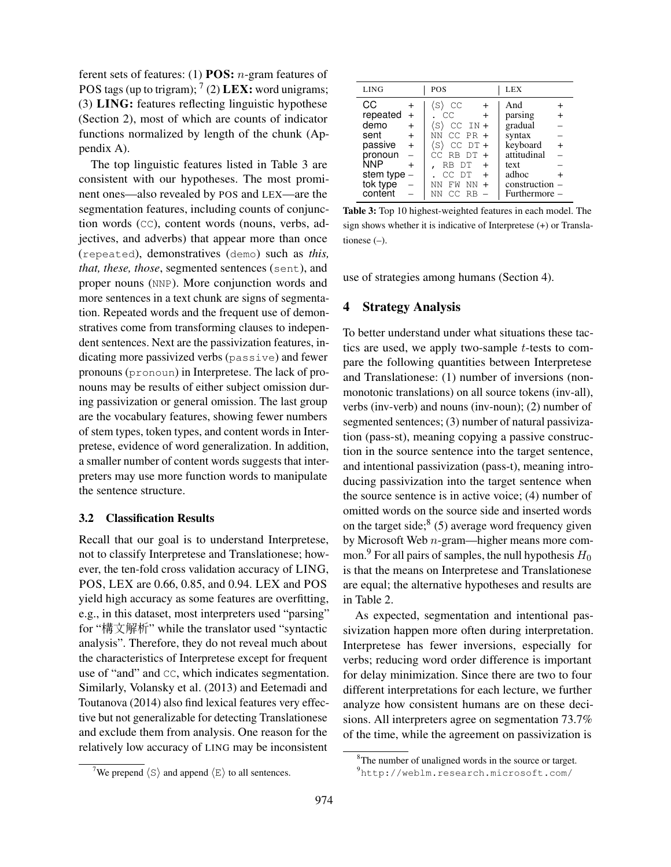ferent sets of features: (1) **POS:**  $n$ -gram features of POS tags (up to trigram);  $^7$  (2) LEX: word unigrams; (3) LING: features reflecting linguistic hypothese (Section 2), most of which are counts of indicator functions normalized by length of the chunk (Appendix A).

The top linguistic features listed in Table 3 are consistent with our hypotheses. The most prominent ones—also revealed by POS and LEX—are the segmentation features, including counts of conjunction words (CC), content words (nouns, verbs, adjectives, and adverbs) that appear more than once (repeated), demonstratives (demo) such as *this, that, these, those*, segmented sentences (sent), and proper nouns (NNP). More conjunction words and more sentences in a text chunk are signs of segmentation. Repeated words and the frequent use of demonstratives come from transforming clauses to independent sentences. Next are the passivization features, indicating more passivized verbs (passive) and fewer pronouns (pronoun) in Interpretese. The lack of pronouns may be results of either subject omission during passivization or general omission. The last group are the vocabulary features, showing fewer numbers of stem types, token types, and content words in Interpretese, evidence of word generalization. In addition, a smaller number of content words suggests that interpreters may use more function words to manipulate the sentence structure.

#### 3.2 Classification Results

Recall that our goal is to understand Interpretese, not to classify Interpretese and Translationese; however, the ten-fold cross validation accuracy of LING, POS, LEX are 0.66, 0.85, and 0.94. LEX and POS yield high accuracy as some features are overfitting, e.g., in this dataset, most interpreters used "parsing" for "構文解析" while the translator used "syntactic analysis". Therefore, they do not reveal much about the characteristics of Interpretese except for frequent use of "and" and CC, which indicates segmentation. Similarly, Volansky et al. (2013) and Eetemadi and Toutanova (2014) also find lexical features very effective but not generalizable for detecting Translationese and exclude them from analysis. One reason for the relatively low accuracy of LING may be inconsistent

<sup>7</sup>We prepend  $\langle S \rangle$  and append  $\langle E \rangle$  to all sentences.

| <b>LING</b> |                | POS                      | <b>LEX</b>      |
|-------------|----------------|--------------------------|-----------------|
| CС          |                | (S)<br>CC                | And             |
| repeated    | $\overline{+}$ | CC.<br>$\ddot{}$         | parsing         |
| demo        | $+$            | $CC IN +$<br>(S)         | gradual         |
| sent        | $\ddot{}$      | $NN$ CC PR $+$           | syntax          |
| passive     | $+$            | $CC$ $DT +$<br>(S)       | keyboard<br>$+$ |
| pronoun     |                | $CC$ RB $DT +$           | attitudinal     |
| NNP         |                | RB DT<br>$\ddot{}$       | text            |
| stem type   |                | CC DT<br>$+$             | adhoc           |
| tok type    |                | FW NN<br>ΝN<br>$\ddot{}$ | construction    |
| content     |                | CC RB<br>NN              | Furthermore –   |

Table 3: Top 10 highest-weighted features in each model. The sign shows whether it is indicative of Interpretese (+) or Translationese (–).

use of strategies among humans (Section 4).

### 4 Strategy Analysis

To better understand under what situations these tactics are used, we apply two-sample t-tests to compare the following quantities between Interpretese and Translationese: (1) number of inversions (nonmonotonic translations) on all source tokens (inv-all), verbs (inv-verb) and nouns (inv-noun); (2) number of segmented sentences; (3) number of natural passivization (pass-st), meaning copying a passive construction in the source sentence into the target sentence, and intentional passivization (pass-t), meaning introducing passivization into the target sentence when the source sentence is in active voice; (4) number of omitted words on the source side and inserted words on the target side; $8(5)$  average word frequency given by Microsoft Web n-gram—higher means more common.<sup>9</sup> For all pairs of samples, the null hypothesis  $H_0$ is that the means on Interpretese and Translationese are equal; the alternative hypotheses and results are in Table 2.

As expected, segmentation and intentional passivization happen more often during interpretation. Interpretese has fewer inversions, especially for verbs; reducing word order difference is important for delay minimization. Since there are two to four different interpretations for each lecture, we further analyze how consistent humans are on these decisions. All interpreters agree on segmentation 73.7% of the time, while the agreement on passivization is

<sup>&</sup>lt;sup>8</sup>The number of unaligned words in the source or target.

<sup>9</sup>http://weblm.research.microsoft.com/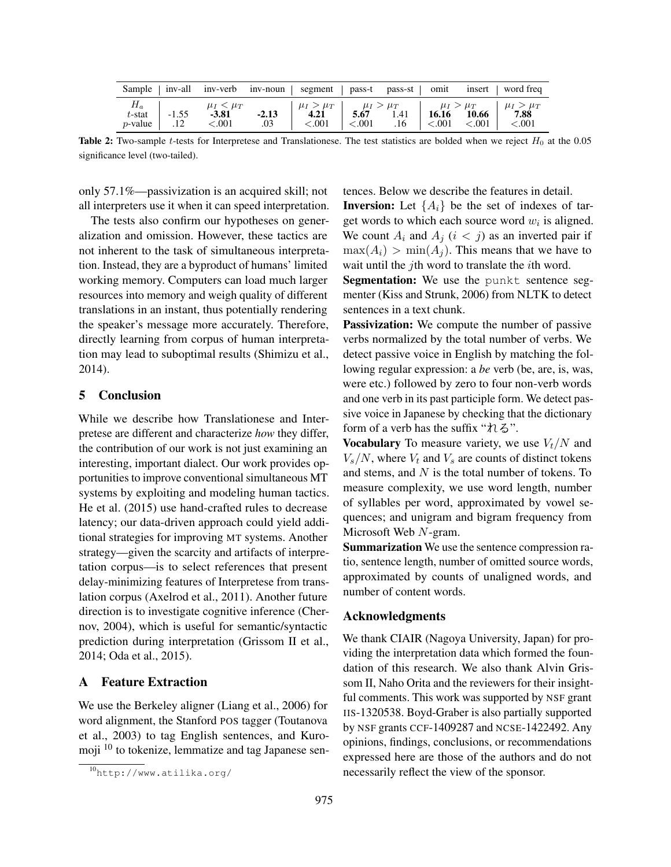| Sample   inv-all inv-verb inv-noun   segment   pass-t pass-st   omit insert   word freq |                    |                                                                                                                                                                                                                                                                                                                                       |  |  |                                                     |
|-----------------------------------------------------------------------------------------|--------------------|---------------------------------------------------------------------------------------------------------------------------------------------------------------------------------------------------------------------------------------------------------------------------------------------------------------------------------------|--|--|-----------------------------------------------------|
| $H_a$<br>$t$ -stat<br>$p$ -value   .12                                                  | $-3.81$<br>< 0.001 | $\begin{vmatrix} \mu_I & \mu_I & \mu_I \\ -1.55 & -3.81 & -2.13 \end{vmatrix}$ $\begin{vmatrix} \mu_I & \mu_I & \mu_I & \mu_I \\ 4.21 & 5.67 & 1.41 \end{vmatrix}$ $\begin{vmatrix} \mu_I & \mu_I & \mu_I \\ 16.16 & 10.66 \end{vmatrix}$ $\begin{vmatrix} \mu_I & \mu_I & \mu_I \\ 7.88 & 1.41 \end{vmatrix}$<br>$.03 \, \times 001$ |  |  | $\vert$ <.001 .16 $\vert$ <.001 <.001 \right] <.001 |

Table 2: Two-sample t-tests for Interpretese and Translationese. The test statistics are bolded when we reject  $H_0$  at the 0.05 significance level (two-tailed).

only 57.1%—passivization is an acquired skill; not all interpreters use it when it can speed interpretation.

The tests also confirm our hypotheses on generalization and omission. However, these tactics are not inherent to the task of simultaneous interpretation. Instead, they are a byproduct of humans' limited working memory. Computers can load much larger resources into memory and weigh quality of different translations in an instant, thus potentially rendering the speaker's message more accurately. Therefore, directly learning from corpus of human interpretation may lead to suboptimal results (Shimizu et al., 2014).

#### 5 Conclusion

While we describe how Translationese and Interpretese are different and characterize *how* they differ, the contribution of our work is not just examining an interesting, important dialect. Our work provides opportunities to improve conventional simultaneous MT systems by exploiting and modeling human tactics. He et al. (2015) use hand-crafted rules to decrease latency; our data-driven approach could yield additional strategies for improving MT systems. Another strategy—given the scarcity and artifacts of interpretation corpus—is to select references that present delay-minimizing features of Interpretese from translation corpus (Axelrod et al., 2011). Another future direction is to investigate cognitive inference (Chernov, 2004), which is useful for semantic/syntactic prediction during interpretation (Grissom II et al., 2014; Oda et al., 2015).

#### A Feature Extraction

We use the Berkeley aligner (Liang et al., 2006) for word alignment, the Stanford POS tagger (Toutanova et al., 2003) to tag English sentences, and Kuromoji <sup>10</sup> to tokenize, lemmatize and tag Japanese sentences. Below we describe the features in detail. **Inversion:** Let  $\{A_i\}$  be the set of indexes of target words to which each source word  $w_i$  is aligned. We count  $A_i$  and  $A_j$   $(i < j)$  as an inverted pair if  $\max(A_i) > \min(A_i)$ . This means that we have to wait until the *j*th word to translate the *i*th word.

Segmentation: We use the punkt sentence segmenter (Kiss and Strunk, 2006) from NLTK to detect sentences in a text chunk.

Passivization: We compute the number of passive verbs normalized by the total number of verbs. We detect passive voice in English by matching the following regular expression: a *be* verb (be, are, is, was, were etc.) followed by zero to four non-verb words and one verb in its past participle form. We detect passive voice in Japanese by checking that the dictionary form of a verb has the suffix " $\hbar \xi$ ".

Vocabulary To measure variety, we use  $V_t/N$  and  $V_s/N$ , where  $V_t$  and  $V_s$  are counts of distinct tokens and stems, and  $N$  is the total number of tokens. To measure complexity, we use word length, number of syllables per word, approximated by vowel sequences; and unigram and bigram frequency from Microsoft Web N-gram.

Summarization We use the sentence compression ratio, sentence length, number of omitted source words, approximated by counts of unaligned words, and number of content words.

#### Acknowledgments

We thank CIAIR (Nagoya University, Japan) for providing the interpretation data which formed the foundation of this research. We also thank Alvin Grissom II, Naho Orita and the reviewers for their insightful comments. This work was supported by NSF grant IIS-1320538. Boyd-Graber is also partially supported by NSF grants CCF-1409287 and NCSE-1422492. Any opinions, findings, conclusions, or recommendations expressed here are those of the authors and do not necessarily reflect the view of the sponsor.

<sup>10</sup>http://www.atilika.org/